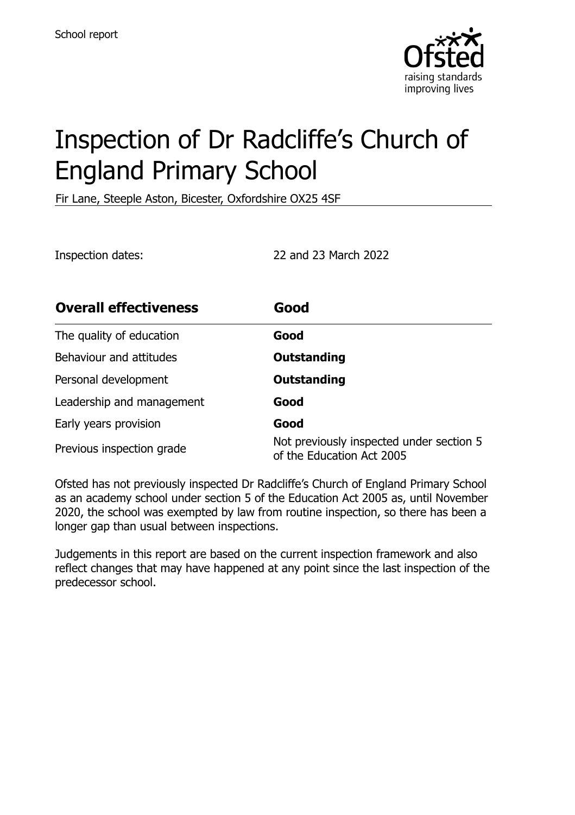

# Inspection of Dr Radcliffe's Church of England Primary School

Fir Lane, Steeple Aston, Bicester, Oxfordshire OX25 4SF

Inspection dates: 22 and 23 March 2022

| <b>Overall effectiveness</b> | Good                                                                  |
|------------------------------|-----------------------------------------------------------------------|
| The quality of education     | Good                                                                  |
| Behaviour and attitudes      | <b>Outstanding</b>                                                    |
| Personal development         | <b>Outstanding</b>                                                    |
| Leadership and management    | Good                                                                  |
| Early years provision        | Good                                                                  |
| Previous inspection grade    | Not previously inspected under section 5<br>of the Education Act 2005 |

Ofsted has not previously inspected Dr Radcliffe's Church of England Primary School as an academy school under section 5 of the Education Act 2005 as, until November 2020, the school was exempted by law from routine inspection, so there has been a longer gap than usual between inspections.

Judgements in this report are based on the current inspection framework and also reflect changes that may have happened at any point since the last inspection of the predecessor school.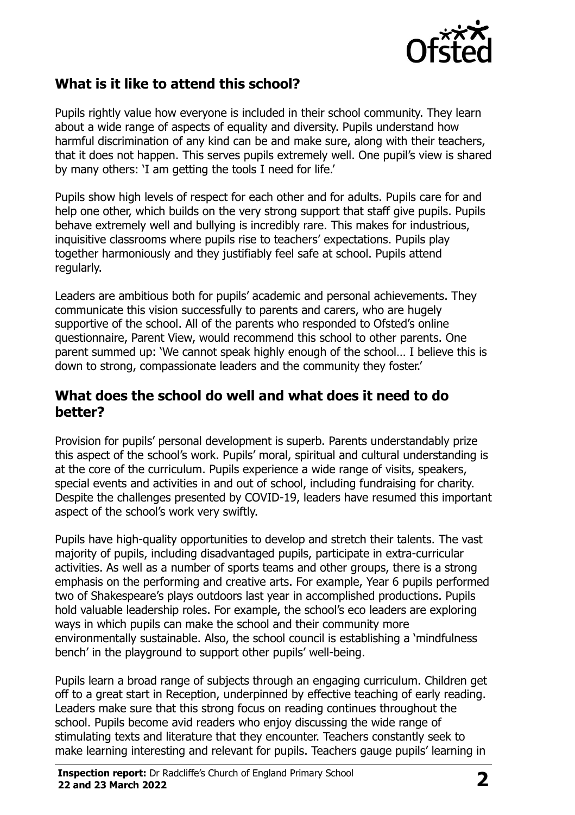

## **What is it like to attend this school?**

Pupils rightly value how everyone is included in their school community. They learn about a wide range of aspects of equality and diversity. Pupils understand how harmful discrimination of any kind can be and make sure, along with their teachers, that it does not happen. This serves pupils extremely well. One pupil's view is shared by many others: 'I am getting the tools I need for life.'

Pupils show high levels of respect for each other and for adults. Pupils care for and help one other, which builds on the very strong support that staff give pupils. Pupils behave extremely well and bullying is incredibly rare. This makes for industrious, inquisitive classrooms where pupils rise to teachers' expectations. Pupils play together harmoniously and they justifiably feel safe at school. Pupils attend regularly.

Leaders are ambitious both for pupils' academic and personal achievements. They communicate this vision successfully to parents and carers, who are hugely supportive of the school. All of the parents who responded to Ofsted's online questionnaire, Parent View, would recommend this school to other parents. One parent summed up: 'We cannot speak highly enough of the school… I believe this is down to strong, compassionate leaders and the community they foster.'

#### **What does the school do well and what does it need to do better?**

Provision for pupils' personal development is superb. Parents understandably prize this aspect of the school's work. Pupils' moral, spiritual and cultural understanding is at the core of the curriculum. Pupils experience a wide range of visits, speakers, special events and activities in and out of school, including fundraising for charity. Despite the challenges presented by COVID-19, leaders have resumed this important aspect of the school's work very swiftly.

Pupils have high-quality opportunities to develop and stretch their talents. The vast majority of pupils, including disadvantaged pupils, participate in extra-curricular activities. As well as a number of sports teams and other groups, there is a strong emphasis on the performing and creative arts. For example, Year 6 pupils performed two of Shakespeare's plays outdoors last year in accomplished productions. Pupils hold valuable leadership roles. For example, the school's eco leaders are exploring ways in which pupils can make the school and their community more environmentally sustainable. Also, the school council is establishing a 'mindfulness bench' in the playground to support other pupils' well-being.

Pupils learn a broad range of subjects through an engaging curriculum. Children get off to a great start in Reception, underpinned by effective teaching of early reading. Leaders make sure that this strong focus on reading continues throughout the school. Pupils become avid readers who enjoy discussing the wide range of stimulating texts and literature that they encounter. Teachers constantly seek to make learning interesting and relevant for pupils. Teachers gauge pupils' learning in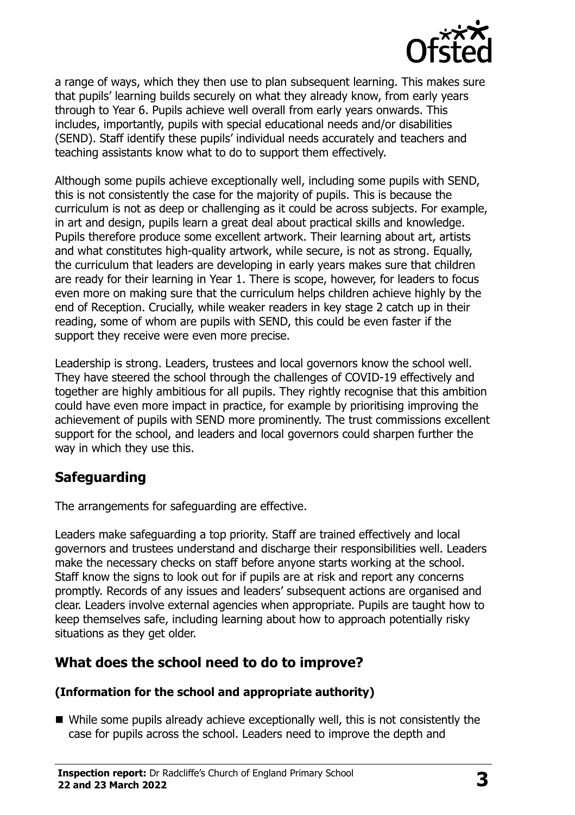

a range of ways, which they then use to plan subsequent learning. This makes sure that pupils' learning builds securely on what they already know, from early years through to Year 6. Pupils achieve well overall from early years onwards. This includes, importantly, pupils with special educational needs and/or disabilities (SEND). Staff identify these pupils' individual needs accurately and teachers and teaching assistants know what to do to support them effectively.

Although some pupils achieve exceptionally well, including some pupils with SEND, this is not consistently the case for the majority of pupils. This is because the curriculum is not as deep or challenging as it could be across subjects. For example, in art and design, pupils learn a great deal about practical skills and knowledge. Pupils therefore produce some excellent artwork. Their learning about art, artists and what constitutes high-quality artwork, while secure, is not as strong. Equally, the curriculum that leaders are developing in early years makes sure that children are ready for their learning in Year 1. There is scope, however, for leaders to focus even more on making sure that the curriculum helps children achieve highly by the end of Reception. Crucially, while weaker readers in key stage 2 catch up in their reading, some of whom are pupils with SEND, this could be even faster if the support they receive were even more precise.

Leadership is strong. Leaders, trustees and local governors know the school well. They have steered the school through the challenges of COVID-19 effectively and together are highly ambitious for all pupils. They rightly recognise that this ambition could have even more impact in practice, for example by prioritising improving the achievement of pupils with SEND more prominently. The trust commissions excellent support for the school, and leaders and local governors could sharpen further the way in which they use this.

# **Safeguarding**

The arrangements for safeguarding are effective.

Leaders make safeguarding a top priority. Staff are trained effectively and local governors and trustees understand and discharge their responsibilities well. Leaders make the necessary checks on staff before anyone starts working at the school. Staff know the signs to look out for if pupils are at risk and report any concerns promptly. Records of any issues and leaders' subsequent actions are organised and clear. Leaders involve external agencies when appropriate. Pupils are taught how to keep themselves safe, including learning about how to approach potentially risky situations as they get older.

# **What does the school need to do to improve?**

#### **(Information for the school and appropriate authority)**

While some pupils already achieve exceptionally well, this is not consistently the case for pupils across the school. Leaders need to improve the depth and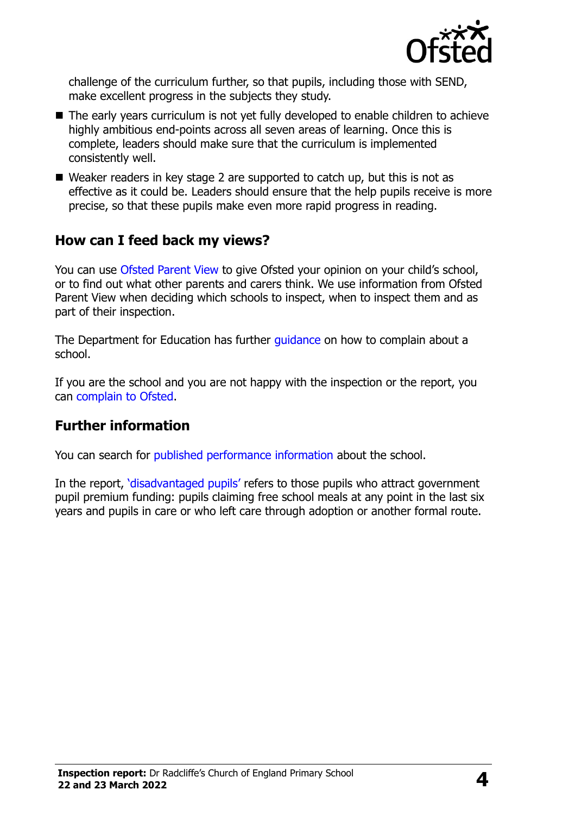

challenge of the curriculum further, so that pupils, including those with SEND, make excellent progress in the subjects they study.

- The early years curriculum is not yet fully developed to enable children to achieve highly ambitious end-points across all seven areas of learning. Once this is complete, leaders should make sure that the curriculum is implemented consistently well.
- Weaker readers in key stage 2 are supported to catch up, but this is not as effective as it could be. Leaders should ensure that the help pupils receive is more precise, so that these pupils make even more rapid progress in reading.

### **How can I feed back my views?**

You can use [Ofsted Parent View](http://parentview.ofsted.gov.uk/) to give Ofsted your opinion on your child's school, or to find out what other parents and carers think. We use information from Ofsted Parent View when deciding which schools to inspect, when to inspect them and as part of their inspection.

The Department for Education has further quidance on how to complain about a school.

If you are the school and you are not happy with the inspection or the report, you can [complain to Ofsted.](http://www.gov.uk/complain-ofsted-report)

#### **Further information**

You can search for [published performance information](http://www.compare-school-performance.service.gov.uk/) about the school.

In the report, '[disadvantaged pupils](http://www.gov.uk/guidance/pupil-premium-information-for-schools-and-alternative-provision-settings)' refers to those pupils who attract government pupil premium funding: pupils claiming free school meals at any point in the last six years and pupils in care or who left care through adoption or another formal route.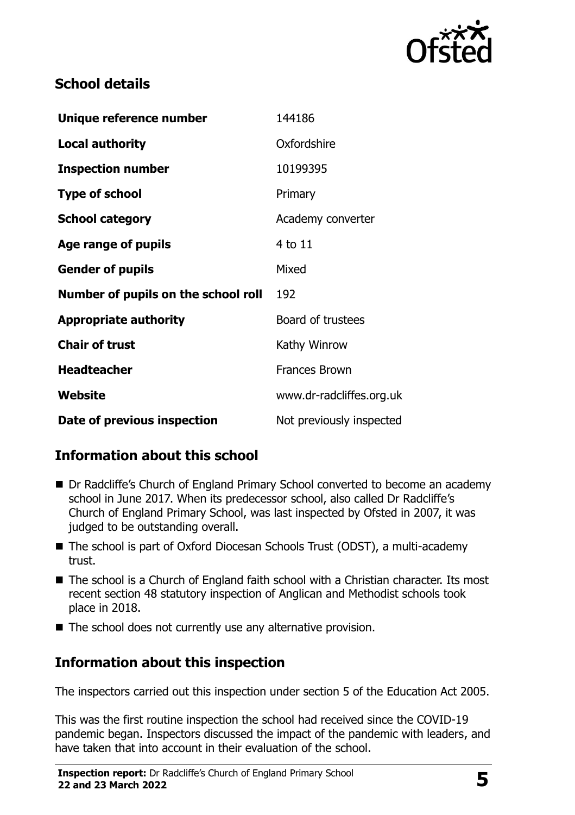

# **School details**

| Unique reference number             | 144186                   |
|-------------------------------------|--------------------------|
| <b>Local authority</b>              | Oxfordshire              |
| <b>Inspection number</b>            | 10199395                 |
| <b>Type of school</b>               | Primary                  |
| <b>School category</b>              | Academy converter        |
| Age range of pupils                 | 4 to 11                  |
| <b>Gender of pupils</b>             | Mixed                    |
| Number of pupils on the school roll | 192                      |
| <b>Appropriate authority</b>        | Board of trustees        |
| <b>Chair of trust</b>               | Kathy Winrow             |
| <b>Headteacher</b>                  | <b>Frances Brown</b>     |
| Website                             | www.dr-radcliffes.org.uk |
| Date of previous inspection         | Not previously inspected |

# **Information about this school**

- Dr Radcliffe's Church of England Primary School converted to become an academy school in June 2017. When its predecessor school, also called Dr Radcliffe's Church of England Primary School, was last inspected by Ofsted in 2007, it was judged to be outstanding overall.
- The school is part of Oxford Diocesan Schools Trust (ODST), a multi-academy trust.
- The school is a Church of England faith school with a Christian character. Its most recent section 48 statutory inspection of Anglican and Methodist schools took place in 2018.
- The school does not currently use any alternative provision.

# **Information about this inspection**

The inspectors carried out this inspection under section 5 of the Education Act 2005.

This was the first routine inspection the school had received since the COVID-19 pandemic began. Inspectors discussed the impact of the pandemic with leaders, and have taken that into account in their evaluation of the school.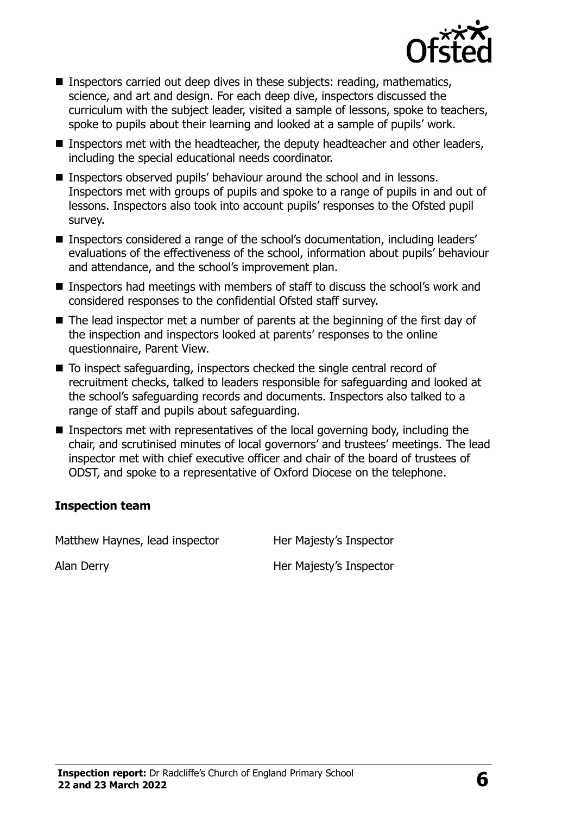

- **Inspectors carried out deep dives in these subjects: reading, mathematics,** science, and art and design. For each deep dive, inspectors discussed the curriculum with the subject leader, visited a sample of lessons, spoke to teachers, spoke to pupils about their learning and looked at a sample of pupils' work.
- Inspectors met with the headteacher, the deputy headteacher and other leaders, including the special educational needs coordinator.
- **Inspectors observed pupils' behaviour around the school and in lessons.** Inspectors met with groups of pupils and spoke to a range of pupils in and out of lessons. Inspectors also took into account pupils' responses to the Ofsted pupil survey.
- Inspectors considered a range of the school's documentation, including leaders' evaluations of the effectiveness of the school, information about pupils' behaviour and attendance, and the school's improvement plan.
- **Inspectors had meetings with members of staff to discuss the school's work and** considered responses to the confidential Ofsted staff survey.
- The lead inspector met a number of parents at the beginning of the first day of the inspection and inspectors looked at parents' responses to the online questionnaire, Parent View.
- To inspect safeguarding, inspectors checked the single central record of recruitment checks, talked to leaders responsible for safeguarding and looked at the school's safeguarding records and documents. Inspectors also talked to a range of staff and pupils about safeguarding.
- Inspectors met with representatives of the local governing body, including the chair, and scrutinised minutes of local governors' and trustees' meetings. The lead inspector met with chief executive officer and chair of the board of trustees of ODST, and spoke to a representative of Oxford Diocese on the telephone.

#### **Inspection team**

Matthew Haynes, lead inspector Her Majesty's Inspector

Alan Derry **Alan Derry Election Contract Contract Property** Her Majesty's Inspector